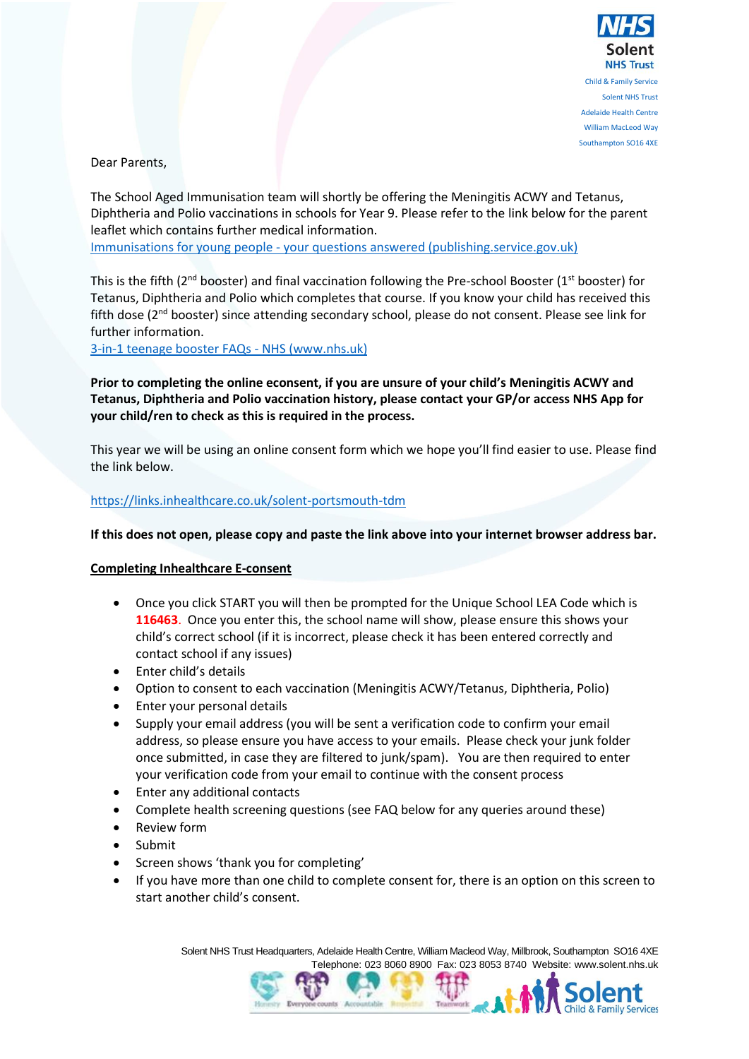

Southampton SO16 4XE

**d & Family Services** 

Dear Parents,

The School Aged Immunisation team will shortly be offering the Meningitis ACWY and Tetanus, Diphtheria and Polio vaccinations in schools for Year 9. Please refer to the link below for the parent leaflet which contains further medical information.

Immunisations for young people - [your questions answered \(publishing.service.gov.uk\)](https://assets.publishing.service.gov.uk/government/uploads/system/uploads/attachment_data/file/849576/Immunisation_for_Young_People_A5_booklet_Nov2019.pdf)

This is the fifth ( $2^{nd}$  booster) and final vaccination following the Pre-school Booster ( $1^{st}$  booster) for Tetanus, Diphtheria and Polio which completes that course. If you know your child has received this fifth dose (2nd booster) since attending secondary school, please do not consent. Please see link for further information.

[3-in-1 teenage booster FAQs -](https://www.nhs.uk/conditions/vaccinations/3-in-1-booster-questions-answers/) NHS (www.nhs.uk)

**Prior to completing the online econsent, if you are unsure of your child's Meningitis ACWY and Tetanus, Diphtheria and Polio vaccination history, please contact your GP/or access NHS App for your child/ren to check as this is required in the process.**

This year we will be using an online consent form which we hope you'll find easier to use. Please find the link below.

## <https://links.inhealthcare.co.uk/solent-portsmouth-tdm>

**If this does not open, please copy and paste the link above into your internet browser address bar.** 

## **Completing Inhealthcare E-consent**

- Once you click START you will then be prompted for the Unique School LEA Code which is **116463**. Once you enter this, the school name will show, please ensure this shows your child's correct school (if it is incorrect, please check it has been entered correctly and contact school if any issues)
- Enter child's details
- Option to consent to each vaccination (Meningitis ACWY/Tetanus, Diphtheria, Polio)
- Enter your personal details
- Supply your email address (you will be sent a verification code to confirm your email address, so please ensure you have access to your emails. Please check your junk folder once submitted, in case they are filtered to junk/spam). You are then required to enter your verification code from your email to continue with the consent process
- Enter any additional contacts
- Complete health screening questions (see FAQ below for any queries around these)
- Review form
- Submit
- Screen shows 'thank you for completing'
- If you have more than one child to complete consent for, there is an option on this screen to start another child's consent.

Solent NHS Trust Headquarters, Adelaide Health Centre, William Macleod Way, Millbrook, Southampton SO16 4XE Telephone: 023 8060 8900 Fax: 023 8053 8740 Website: www.solent.nhs.uk